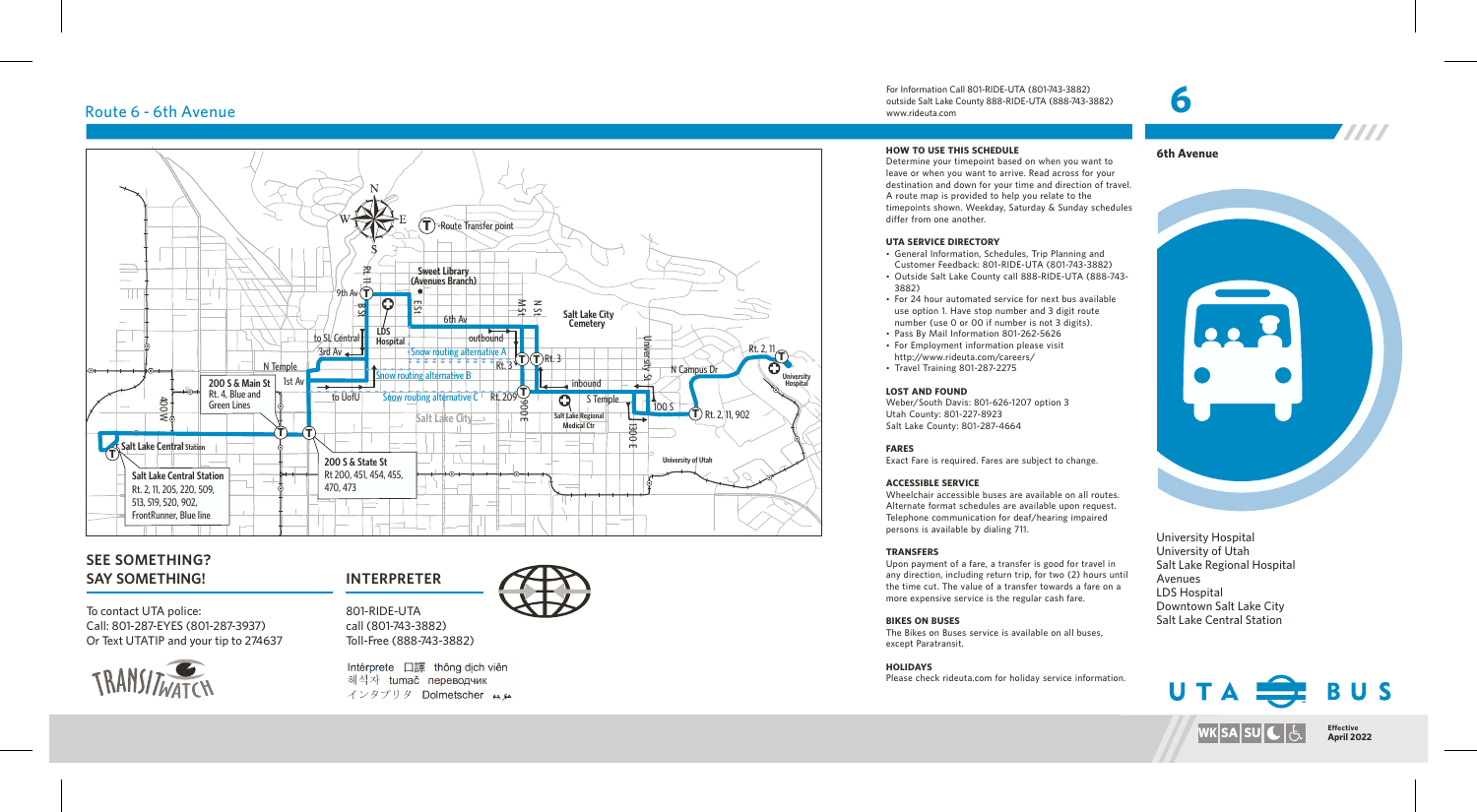# Route 6 - 6th Avenue



# **SEE SOMETHING? SAY SOMETHING! INTERPRETER**

To contact UTA police: Call: 801-287-EYES (801-287-3937) Or Text UTATIP and your tip to 274637



801-RIDE-UTA call (801-743-3882) Toll-Free (888-743-3882)

Intérprete 口譯 thông dịch viên 해석자 tumač переводчик インタプリタ Dolmetscher メル

For Information Call 801-RIDE-UTA (801-743-3882) outside Salt Lake County 888-RIDE-UTA (888-743-3882) www.rideuta.com

# **HOW TO USE THIS SCHEDULE**

Determine your timepoint based on when you want to leave or when you want to arrive. Read across for your destination and down for your time and direction of travel. A route map is provided to help you relate to the timepoints shown. Weekday, Saturday & Sunday schedules differ from one another.

## **UTA SERVICE DIRECTORY**

• General Information, Schedules, Trip Planning and Customer Feedback: 801-RIDE-UTA (801-743-3882)

- Outside Salt Lake County call 888-RIDE-UTA (888-743-3882)
- For 24 hour automated service for next bus available use option 1. Have stop number and 3 digit route number (use 0 or 00 if number is not 3 digits).
- Pass By Mail Information 801-262-5626
- For Employment information please visit
- Travel Training 801-287-2275

### **LOST AND FOUND**

Weber/South Davis: 801-626-1207 option 3 Utah County: 801-227-8923 Salt Lake County: 801-287-4664

## **FARES**

Exact Fare is required. Fares are subject to change.

### **ACCESSIBLE SERVICE**

Wheelchair accessible buses are available on all routes. Alternate format schedules are available upon request. Telephone communication for deaf/hearing impaired persons is available by dialing 711.

### **TRANSFERS**

Upon payment of a fare, a transfer is good for travel in any direction, including return trip, for two (2) hours until the time cut. The value of a transfer towards a fare on a more expensive service is the regular cash fare.

### **BIKES ON BUSES**

The Bikes on Buses service is available on all buses, except Paratransit.

**HOLIDAYS** Please check rideuta.com for holiday service information.



- 
- http://www.rideuta.com/careers/
- 





**WKSASUCGE** 

Downtown Salt Lake City Salt Lake Central Station

University Hospital University of Utah Salt Lake Regional Hospital

Avenues LDS Hospital

**6**

**April 2022**